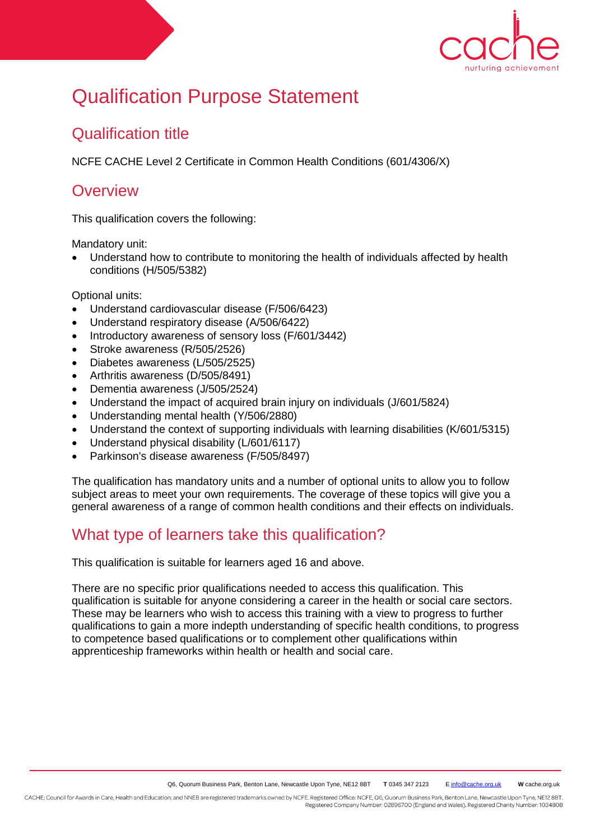

# Qualification Purpose Statement

### Qualification title

NCFE CACHE Level 2 Certificate in Common Health Conditions (601/4306/X)

#### **Overview**

This qualification covers the following:

Mandatory unit:

 Understand how to contribute to monitoring the health of individuals affected by health conditions (H/505/5382)

Optional units:

- Understand cardiovascular disease (F/506/6423)
- Understand respiratory disease (A/506/6422)
- Introductory awareness of sensory loss (F/601/3442)
- Stroke awareness (R/505/2526)
- Diabetes awareness (L/505/2525)
- Arthritis awareness (D/505/8491)
- Dementia awareness (J/505/2524)
- Understand the impact of acquired brain injury on individuals (J/601/5824)
- Understanding mental health (Y/506/2880)
- Understand the context of supporting individuals with learning disabilities (K/601/5315)
- Understand physical disability (L/601/6117)
- Parkinson's disease awareness (F/505/8497)

The qualification has mandatory units and a number of optional units to allow you to follow subject areas to meet your own requirements. The coverage of these topics will give you a general awareness of a range of common health conditions and their effects on individuals.

### What type of learners take this qualification?

This qualification is suitable for learners aged 16 and above.

There are no specific prior qualifications needed to access this qualification. This qualification is suitable for anyone considering a career in the health or social care sectors. These may be learners who wish to access this training with a view to progress to further qualifications to gain a more indepth understanding of specific health conditions, to progress to competence based qualifications or to complement other qualifications within apprenticeship frameworks within health or health and social care.

CACHE; Council for Awards in Care, Health and Education; and NNEB are registered trademarks owned by NCFE. Registered Office: NCFE, Q6, Quorum Business Park, Benton Lane, Newcastle Upon Tyne, NE12 8BT. Registered Company Number: 02896700 (England and Wales). Registered Charity Number: 1034808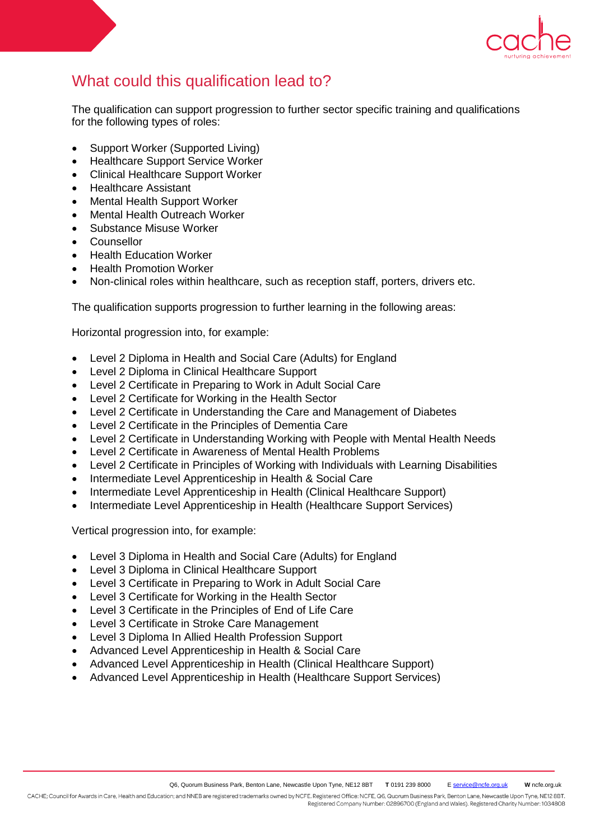

## What could this qualification lead to?

The qualification can support progression to further sector specific training and qualifications for the following types of roles:

- Support Worker (Supported Living)
- Healthcare Support Service Worker
- Clinical Healthcare Support Worker
- Healthcare Assistant
- Mental Health Support Worker
- Mental Health Outreach Worker
- Substance Misuse Worker
- Counsellor
- Health Education Worker
- Health Promotion Worker
- Non-clinical roles within healthcare, such as reception staff, porters, drivers etc.

The qualification supports progression to further learning in the following areas:

Horizontal progression into, for example:

- Level 2 Diploma in Health and Social Care (Adults) for England
- Level 2 Diploma in Clinical Healthcare Support
- Level 2 Certificate in Preparing to Work in Adult Social Care
- Level 2 Certificate for Working in the Health Sector
- Level 2 Certificate in Understanding the Care and Management of Diabetes
- Level 2 Certificate in the Principles of Dementia Care
- Level 2 Certificate in Understanding Working with People with Mental Health Needs
- Level 2 Certificate in Awareness of Mental Health Problems
- Level 2 Certificate in Principles of Working with Individuals with Learning Disabilities
- Intermediate Level Apprenticeship in Health & Social Care
- Intermediate Level Apprenticeship in Health (Clinical Healthcare Support)
- Intermediate Level Apprenticeship in Health (Healthcare Support Services)

Vertical progression into, for example:

- Level 3 Diploma in Health and Social Care (Adults) for England
- Level 3 Diploma in Clinical Healthcare Support
- Level 3 Certificate in Preparing to Work in Adult Social Care
- Level 3 Certificate for Working in the Health Sector
- Level 3 Certificate in the Principles of End of Life Care
- Level 3 Certificate in Stroke Care Management
- Level 3 Diploma In Allied Health Profession Support
- Advanced Level Apprenticeship in Health & Social Care
- Advanced Level Apprenticeship in Health (Clinical Healthcare Support)
- Advanced Level Apprenticeship in Health (Healthcare Support Services)

CACHE; Council for Awards in Care, Health and Education; and NNEB are registered trademarks owned by NCFE. Registered Office: NCFE, Q6, Quorum Business Park, Benton Lane, Newcastle Upon Tyne, NE12 8BT. Registered Company Number: 02896700 (England and Wales). Registered Charity Number: 1034808